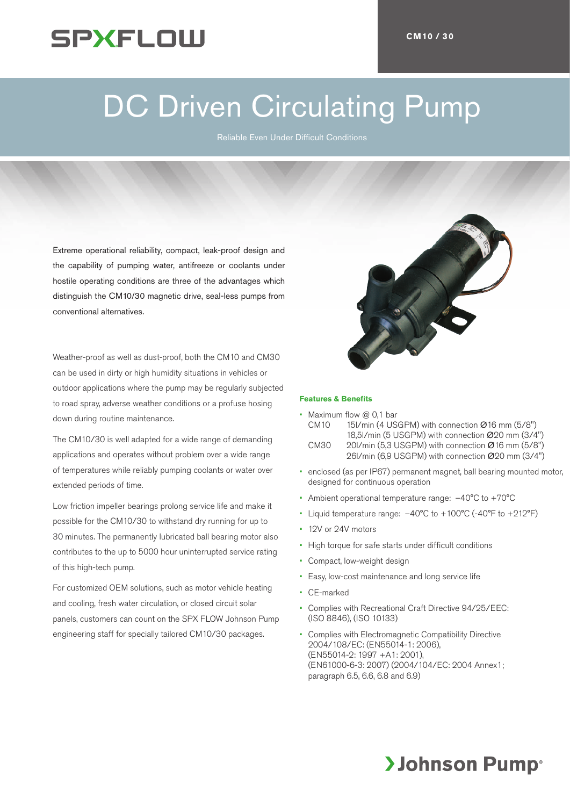## SPXFLOW

# DC Driven Circulating Pump

Reliable Even Under Difficult Conditions

Extreme operational reliability, compact, leak-proof design and the capability of pumping water, antifreeze or coolants under hostile operating conditions are three of the advantages which distinguish the CM10/30 magnetic drive, seal-less pumps from conventional alternatives.

Weather-proof as well as dust-proof, both the CM10 and CM30 can be used in dirty or high humidity situations in vehicles or outdoor applications where the pump may be regularly subjected to road spray, adverse weather conditions or a profuse hosing down during routine maintenance.

The CM10/30 is well adapted for a wide range of demanding applications and operates without problem over a wide range of temperatures while reliably pumping coolants or water over extended periods of time.

Low friction impeller bearings prolong service life and make it possible for the CM10/30 to withstand dry running for up to 30 minutes. The permanently lubricated ball bearing motor also contributes to the up to 5000 hour uninterrupted service rating of this high-tech pump.

For customized OEM solutions, such as motor vehicle heating and cooling, fresh water circulation, or closed circuit solar panels, customers can count on the SPX FLOW Johnson Pump engineering staff for specially tailored CM10/30 packages.



#### **Features & Benefits**

- Maximum flow  $@$  0,1 bar CM10 15l/min (4 USGPM) with connection Ø16 mm (5/8") 18,5l/min (5 USGPM) with connection Ø20 mm (3/4") CM30 20l/min (5,3 USGPM) with connection Ø16 mm (5/8") 26l/min (6,9 USGPM) with connection Ø20 mm (3/4")
- enclosed (as per IP67) permanent magnet, ball bearing mounted motor, designed for continuous operation
- Ambient operational temperature range:  $-40^{\circ}$ C to  $+70^{\circ}$ C
- Liquid temperature range:  $-40^{\circ}$ C to  $+100^{\circ}$ C (-40°F to  $+212^{\circ}$ F)
- • 12V or 24V motors
- • High torque for safe starts under difficult conditions
- • Compact, low-weight design
- Easy, low-cost maintenance and long service life
- CE-marked
- Complies with Recreational Craft Directive 94/25/EEC: (ISO 8846), (ISO 10133)
- Complies with Electromagnetic Compatibility Directive 2004/108/EC: (EN55014-1: 2006), (EN55014-2: 1997 +A1: 2001), (EN61000-6-3: 2007) (2004/104/EC: 2004 Annex1; paragraph 6.5, 6.6, 6.8 and 6.9)

### **>Johnson Pump**®